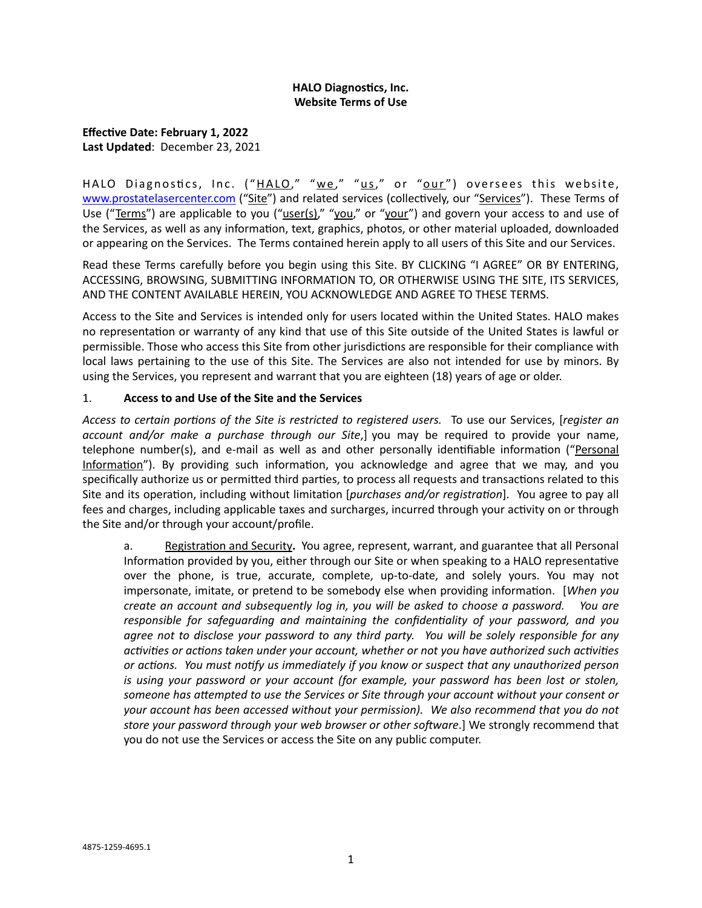# **HALO Diagnostics, Inc. Website Terms of Use**

**Effective Date: February 1, 2022 Last Updated**: December 23, 2021

HALO Diagnostics, Inc. ("HALO," "we," "us," or "our") oversees this website, [www.prostatelasercenter.com](http://www.prostatelasercenter.com) ("Site") and related services (collectively, our "Services"). These Terms of Use ("Terms") are applicable to you ("user(s)," "you," or "your") and govern your access to and use of the Services, as well as any information, text, graphics, photos, or other material uploaded, downloaded or appearing on the Services. The Terms contained herein apply to all users of this Site and our Services.

Read these Terms carefully before you begin using this Site. BY CLICKING "I AGREE" OR BY ENTERING, ACCESSING, BROWSING, SUBMITTING INFORMATION TO, OR OTHERWISE USING THE SITE, ITS SERVICES, AND THE CONTENT AVAILABLE HEREIN, YOU ACKNOWLEDGE AND AGREE TO THESE TERMS.

Access to the Site and Services is intended only for users located within the United States. HALO makes no representation or warranty of any kind that use of this Site outside of the United States is lawful or permissible. Those who access this Site from other jurisdictions are responsible for their compliance with local laws pertaining to the use of this Site. The Services are also not intended for use by minors. By using the Services, you represent and warrant that you are eighteen (18) years of age or older.

# 1. **Access to and Use of the Site and the Services**

*Access to certain portions of the Site is restricted to registered users.* To use our Services, [*register an account and/or make a purchase through our Site*,] you may be required to provide your name, telephone number(s), and e-mail as well as and other personally identifiable information ("Personal Information"). By providing such information, you acknowledge and agree that we may, and you specifically authorize us or permitted third parties, to process all requests and transactions related to this Site and its operation, including without limitation [*purchases and/or registration*]. You agree to pay all fees and charges, including applicable taxes and surcharges, incurred through your activity on or through the Site and/or through your account/profile.

a. Registration and Security**.** You agree, represent, warrant, and guarantee that all Personal Information provided by you, either through our Site or when speaking to a HALO representative over the phone, is true, accurate, complete, up-to-date, and solely yours. You may not impersonate, imitate, or pretend to be somebody else when providing information. [*When you create an account and subsequently log in, you will be asked to choose a password. You are responsible for safeguarding and maintaining the confidentiality of your password, and you agree not to disclose your password to any third party. You will be solely responsible for any activities or actions taken under your account, whether or not you have authorized such activities or actions. You must notify us immediately if you know or suspect that any unauthorized person is using your password or your account (for example, your password has been lost or stolen, someone has attempted to use the Services or Site through your account without your consent or your account has been accessed without your permission). We also recommend that you do not store your password through your web browser or other software*.] We strongly recommend that you do not use the Services or access the Site on any public computer.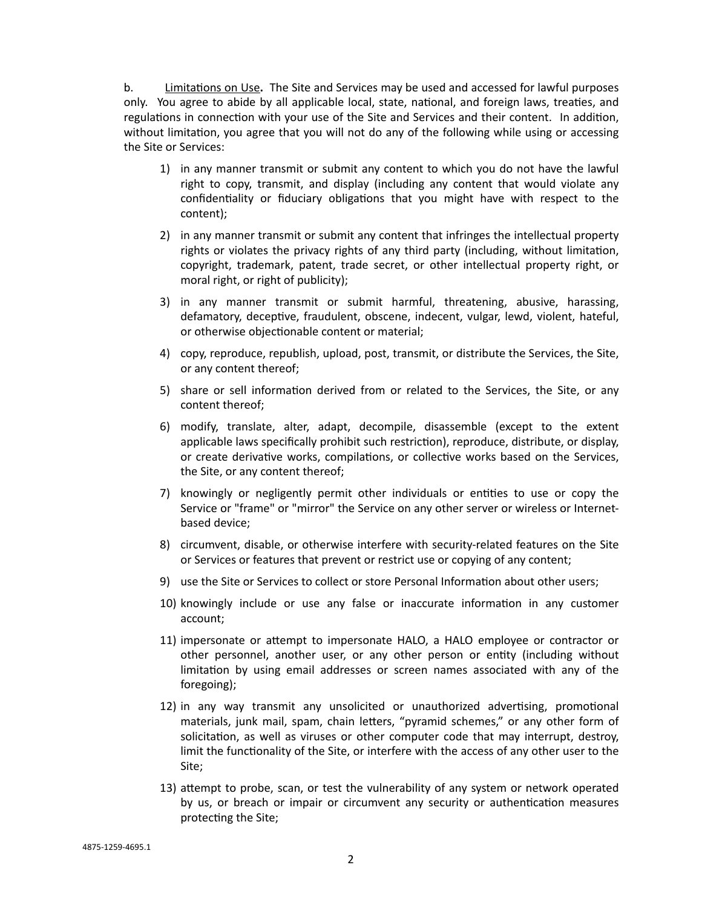b. Limitations on Use**.** The Site and Services may be used and accessed for lawful purposes only. You agree to abide by all applicable local, state, national, and foreign laws, treaties, and regulations in connection with your use of the Site and Services and their content. In addition, without limitation, you agree that you will not do any of the following while using or accessing the Site or Services:

- 1) in any manner transmit or submit any content to which you do not have the lawful right to copy, transmit, and display (including any content that would violate any confidentiality or fiduciary obligations that you might have with respect to the content);
- 2) in any manner transmit or submit any content that infringes the intellectual property rights or violates the privacy rights of any third party (including, without limitation, copyright, trademark, patent, trade secret, or other intellectual property right, or moral right, or right of publicity);
- 3) in any manner transmit or submit harmful, threatening, abusive, harassing, defamatory, deceptive, fraudulent, obscene, indecent, vulgar, lewd, violent, hateful, or otherwise objectionable content or material;
- 4) copy, reproduce, republish, upload, post, transmit, or distribute the Services, the Site, or any content thereof;
- 5) share or sell information derived from or related to the Services, the Site, or any content thereof;
- 6) modify, translate, alter, adapt, decompile, disassemble (except to the extent applicable laws specifically prohibit such restriction), reproduce, distribute, or display, or create derivative works, compilations, or collective works based on the Services, the Site, or any content thereof;
- 7) knowingly or negligently permit other individuals or entities to use or copy the Service or "frame" or "mirror" the Service on any other server or wireless or Internetbased device;
- 8) circumvent, disable, or otherwise interfere with security-related features on the Site or Services or features that prevent or restrict use or copying of any content;
- 9) use the Site or Services to collect or store Personal Information about other users;
- 10) knowingly include or use any false or inaccurate information in any customer account;
- 11) impersonate or attempt to impersonate HALO, a HALO employee or contractor or other personnel, another user, or any other person or entity (including without limitation by using email addresses or screen names associated with any of the foregoing);
- 12) in any way transmit any unsolicited or unauthorized advertising, promotional materials, junk mail, spam, chain letters, "pyramid schemes," or any other form of solicitation, as well as viruses or other computer code that may interrupt, destroy, limit the functionality of the Site, or interfere with the access of any other user to the Site;
- 13) attempt to probe, scan, or test the vulnerability of any system or network operated by us, or breach or impair or circumvent any security or authentication measures protecting the Site;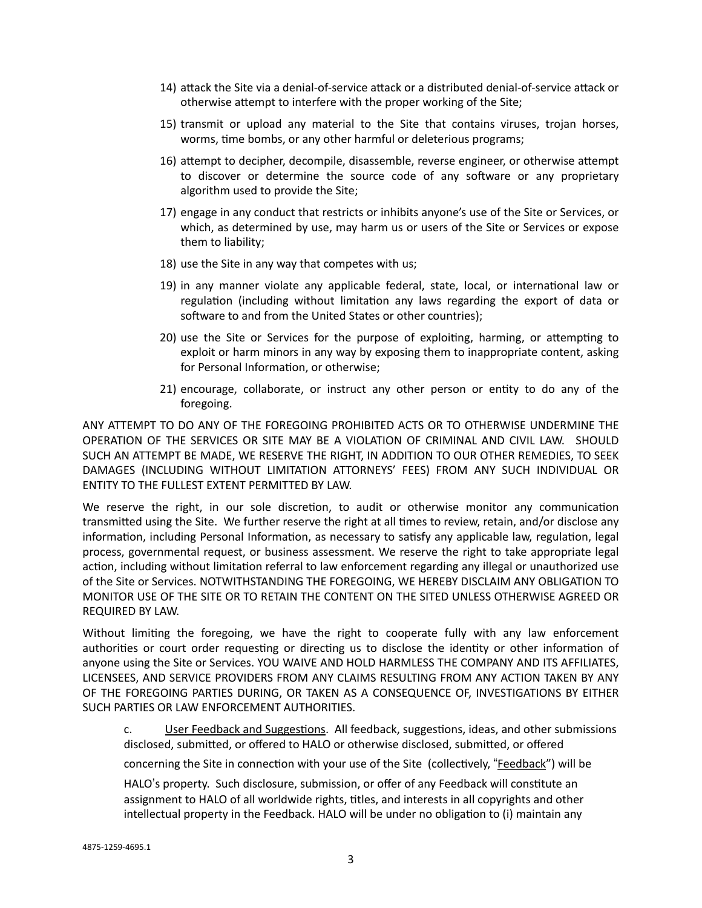- 14) attack the Site via a denial-of-service attack or a distributed denial-of-service attack or otherwise attempt to interfere with the proper working of the Site;
- 15) transmit or upload any material to the Site that contains viruses, trojan horses, worms, time bombs, or any other harmful or deleterious programs;
- 16) attempt to decipher, decompile, disassemble, reverse engineer, or otherwise attempt to discover or determine the source code of any software or any proprietary algorithm used to provide the Site;
- 17) engage in any conduct that restricts or inhibits anyone's use of the Site or Services, or which, as determined by use, may harm us or users of the Site or Services or expose them to liability;
- 18) use the Site in any way that competes with us;
- 19) in any manner violate any applicable federal, state, local, or international law or regulation (including without limitation any laws regarding the export of data or software to and from the United States or other countries);
- 20) use the Site or Services for the purpose of exploiting, harming, or attempting to exploit or harm minors in any way by exposing them to inappropriate content, asking for Personal Information, or otherwise;
- 21) encourage, collaborate, or instruct any other person or entity to do any of the foregoing.

ANY ATTEMPT TO DO ANY OF THE FOREGOING PROHIBITED ACTS OR TO OTHERWISE UNDERMINE THE OPERATION OF THE SERVICES OR SITE MAY BE A VIOLATION OF CRIMINAL AND CIVIL LAW. SHOULD SUCH AN ATTEMPT BE MADE, WE RESERVE THE RIGHT, IN ADDITION TO OUR OTHER REMEDIES, TO SEEK DAMAGES (INCLUDING WITHOUT LIMITATION ATTORNEYS' FEES) FROM ANY SUCH INDIVIDUAL OR ENTITY TO THE FULLEST EXTENT PERMITTED BY LAW.

We reserve the right, in our sole discretion, to audit or otherwise monitor any communication transmitted using the Site. We further reserve the right at all times to review, retain, and/or disclose any information, including Personal Information, as necessary to satisfy any applicable law, regulation, legal process, governmental request, or business assessment. We reserve the right to take appropriate legal action, including without limitation referral to law enforcement regarding any illegal or unauthorized use of the Site or Services. NOTWITHSTANDING THE FOREGOING, WE HEREBY DISCLAIM ANY OBLIGATION TO MONITOR USE OF THE SITE OR TO RETAIN THE CONTENT ON THE SITED UNLESS OTHERWISE AGREED OR REQUIRED BY LAW.

Without limiting the foregoing, we have the right to cooperate fully with any law enforcement authorities or court order requesting or directing us to disclose the identity or other information of anyone using the Site or Services. YOU WAIVE AND HOLD HARMLESS THE COMPANY AND ITS AFFILIATES, LICENSEES, AND SERVICE PROVIDERS FROM ANY CLAIMS RESULTING FROM ANY ACTION TAKEN BY ANY OF THE FOREGOING PARTIES DURING, OR TAKEN AS A CONSEQUENCE OF, INVESTIGATIONS BY EITHER SUCH PARTIES OR LAW ENFORCEMENT AUTHORITIES.

c. User Feedback and Suggestions. All feedback, suggestions, ideas, and other submissions disclosed, submitted, or offered to HALO or otherwise disclosed, submitted, or offered

concerning the Site in connection with your use of the Site (collectively, "Feedback") will be

HALO"s property. Such disclosure, submission, or offer of any Feedback will constitute an assignment to HALO of all worldwide rights, titles, and interests in all copyrights and other intellectual property in the Feedback. HALO will be under no obligation to (i) maintain any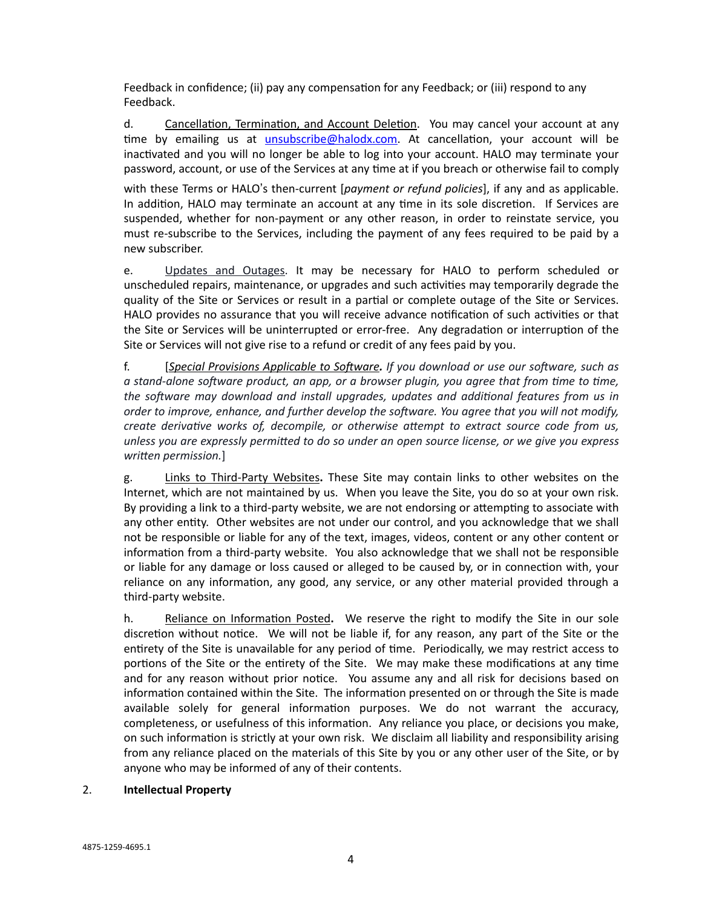Feedback in confidence; (ii) pay any compensation for any Feedback; or (iii) respond to any Feedback.

d. Cancellation, Termination, and Account Deletion. You may cancel your account at any time by emailing us at *unsubscribe@halodx.com*. At cancellation, your account will be inactivated and you will no longer be able to log into your account. HALO may terminate your password, account, or use of the Services at any time at if you breach or otherwise fail to comply

with these Terms or HALO"s then-current [*payment or refund policies*], if any and as applicable. In addition, HALO may terminate an account at any time in its sole discretion. If Services are suspended, whether for non-payment or any other reason, in order to reinstate service, you must re-subscribe to the Services, including the payment of any fees required to be paid by a new subscriber.

e. Updates and Outages. It may be necessary for HALO to perform scheduled or unscheduled repairs, maintenance, or upgrades and such activities may temporarily degrade the quality of the Site or Services or result in a partial or complete outage of the Site or Services. HALO provides no assurance that you will receive advance notification of such activities or that the Site or Services will be uninterrupted or error-free. Any degradation or interruption of the Site or Services will not give rise to a refund or credit of any fees paid by you.

f. [*Special Provisions Applicable to Software. If you download or use our software, such as a stand-alone software product, an app, or a browser plugin, you agree that from time to time, the software may download and install upgrades, updates and additional features from us in order to improve, enhance, and further develop the software. You agree that you will not modify, create derivative works of, decompile, or otherwise attempt to extract source code from us, unless you are expressly permitted to do so under an open source license, or we give you express written permission.*]

g. Links to Third-Party Websites**.** These Site may contain links to other websites on the Internet, which are not maintained by us. When you leave the Site, you do so at your own risk. By providing a link to a third-party website, we are not endorsing or attempting to associate with any other entity. Other websites are not under our control, and you acknowledge that we shall not be responsible or liable for any of the text, images, videos, content or any other content or information from a third-party website. You also acknowledge that we shall not be responsible or liable for any damage or loss caused or alleged to be caused by, or in connection with, your reliance on any information, any good, any service, or any other material provided through a third-party website.

h. Reliance on Information Posted**.** We reserve the right to modify the Site in our sole discretion without notice. We will not be liable if, for any reason, any part of the Site or the entirety of the Site is unavailable for any period of time. Periodically, we may restrict access to portions of the Site or the entirety of the Site. We may make these modifications at any time and for any reason without prior notice. You assume any and all risk for decisions based on information contained within the Site. The information presented on or through the Site is made available solely for general information purposes. We do not warrant the accuracy, completeness, or usefulness of this information. Any reliance you place, or decisions you make, on such information is strictly at your own risk. We disclaim all liability and responsibility arising from any reliance placed on the materials of this Site by you or any other user of the Site, or by anyone who may be informed of any of their contents.

#### 2. **Intellectual Property**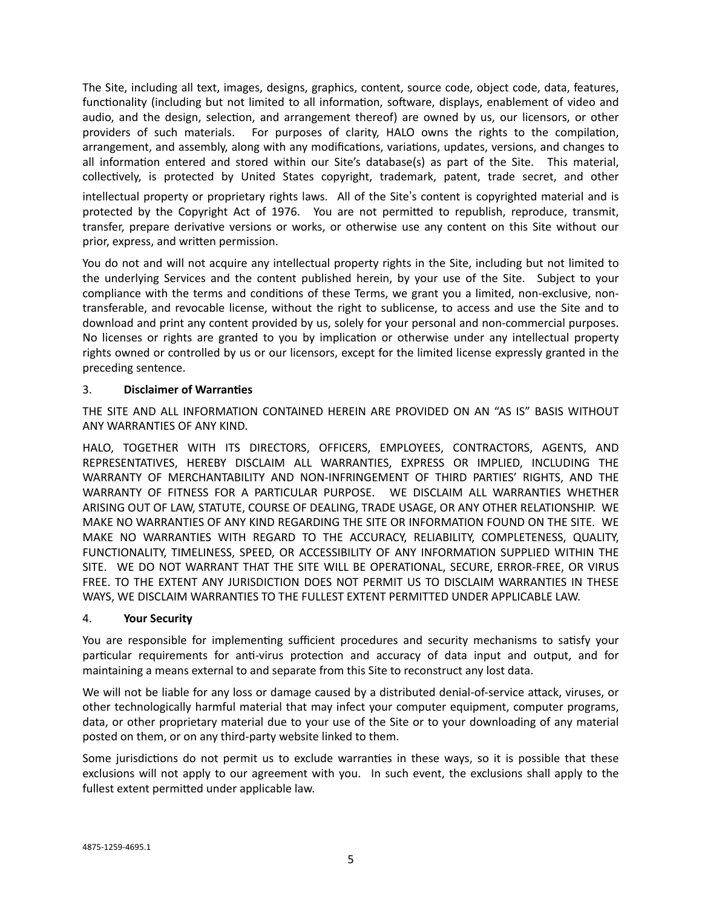The Site, including all text, images, designs, graphics, content, source code, object code, data, features, functionality (including but not limited to all information, software, displays, enablement of video and audio, and the design, selection, and arrangement thereof) are owned by us, our licensors, or other providers of such materials. For purposes of clarity, HALO owns the rights to the compilation, arrangement, and assembly, along with any modifications, variations, updates, versions, and changes to all information entered and stored within our Site's database(s) as part of the Site. This material, collectively, is protected by United States copyright, trademark, patent, trade secret, and other

intellectual property or proprietary rights laws. All of the Site"s content is copyrighted material and is protected by the Copyright Act of 1976. You are not permitted to republish, reproduce, transmit, transfer, prepare derivative versions or works, or otherwise use any content on this Site without our prior, express, and written permission.

You do not and will not acquire any intellectual property rights in the Site, including but not limited to the underlying Services and the content published herein, by your use of the Site. Subject to your compliance with the terms and conditions of these Terms, we grant you a limited, non-exclusive, nontransferable, and revocable license, without the right to sublicense, to access and use the Site and to download and print any content provided by us, solely for your personal and non-commercial purposes. No licenses or rights are granted to you by implication or otherwise under any intellectual property rights owned or controlled by us or our licensors, except for the limited license expressly granted in the preceding sentence.

# 3. **Disclaimer of Warranties**

THE SITE AND ALL INFORMATION CONTAINED HEREIN ARE PROVIDED ON AN "AS IS" BASIS WITHOUT ANY WARRANTIES OF ANY KIND.

HALO, TOGETHER WITH ITS DIRECTORS, OFFICERS, EMPLOYEES, CONTRACTORS, AGENTS, AND REPRESENTATIVES, HEREBY DISCLAIM ALL WARRANTIES, EXPRESS OR IMPLIED, INCLUDING THE WARRANTY OF MERCHANTABILITY AND NON-INFRINGEMENT OF THIRD PARTIES' RIGHTS, AND THE WARRANTY OF FITNESS FOR A PARTICULAR PURPOSE. WE DISCLAIM ALL WARRANTIES WHETHER ARISING OUT OF LAW, STATUTE, COURSE OF DEALING, TRADE USAGE, OR ANY OTHER RELATIONSHIP. WE MAKE NO WARRANTIES OF ANY KIND REGARDING THE SITE OR INFORMATION FOUND ON THE SITE. WE MAKE NO WARRANTIES WITH REGARD TO THE ACCURACY, RELIABILITY, COMPLETENESS, QUALITY, FUNCTIONALITY, TIMELINESS, SPEED, OR ACCESSIBILITY OF ANY INFORMATION SUPPLIED WITHIN THE SITE. WE DO NOT WARRANT THAT THE SITE WILL BE OPERATIONAL, SECURE, ERROR-FREE, OR VIRUS FREE. TO THE EXTENT ANY JURISDICTION DOES NOT PERMIT US TO DISCLAIM WARRANTIES IN THESE WAYS, WE DISCLAIM WARRANTIES TO THE FULLEST EXTENT PERMITTED UNDER APPLICABLE LAW.

# 4. **Your Security**

You are responsible for implementing sufficient procedures and security mechanisms to satisfy your particular requirements for anti-virus protection and accuracy of data input and output, and for maintaining a means external to and separate from this Site to reconstruct any lost data.

We will not be liable for any loss or damage caused by a distributed denial-of-service attack, viruses, or other technologically harmful material that may infect your computer equipment, computer programs, data, or other proprietary material due to your use of the Site or to your downloading of any material posted on them, or on any third-party website linked to them.

Some jurisdictions do not permit us to exclude warranties in these ways, so it is possible that these exclusions will not apply to our agreement with you. In such event, the exclusions shall apply to the fullest extent permitted under applicable law.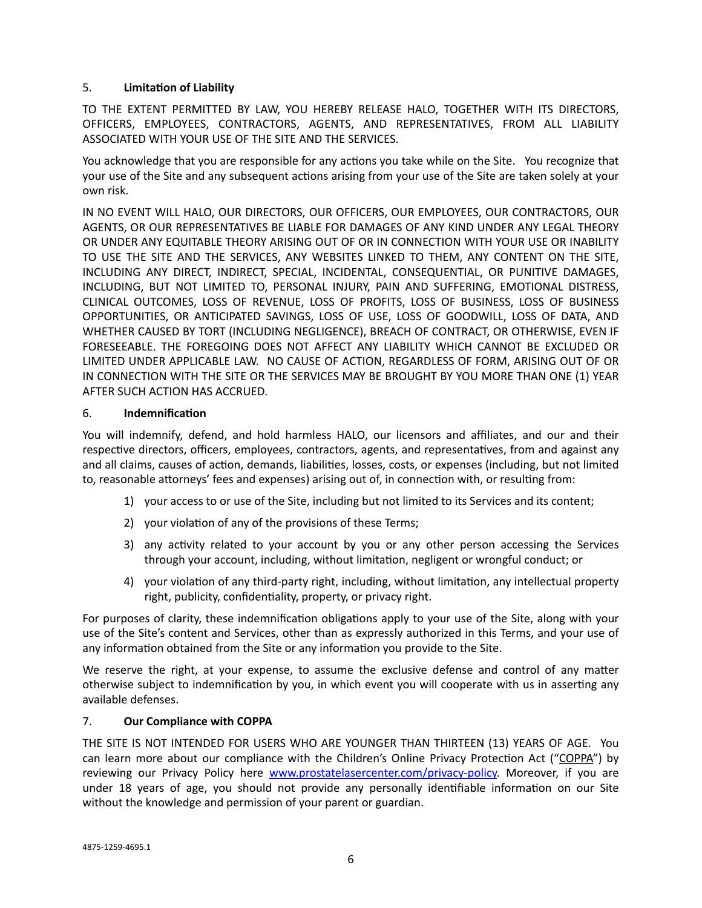# 5. **Limitation of Liability**

TO THE EXTENT PERMITTED BY LAW, YOU HEREBY RELEASE HALO, TOGETHER WITH ITS DIRECTORS, OFFICERS, EMPLOYEES, CONTRACTORS, AGENTS, AND REPRESENTATIVES, FROM ALL LIABILITY ASSOCIATED WITH YOUR USE OF THE SITE AND THE SERVICES.

You acknowledge that you are responsible for any actions you take while on the Site. You recognize that your use of the Site and any subsequent actions arising from your use of the Site are taken solely at your own risk.

IN NO EVENT WILL HALO, OUR DIRECTORS, OUR OFFICERS, OUR EMPLOYEES, OUR CONTRACTORS, OUR AGENTS, OR OUR REPRESENTATIVES BE LIABLE FOR DAMAGES OF ANY KIND UNDER ANY LEGAL THEORY OR UNDER ANY EQUITABLE THEORY ARISING OUT OF OR IN CONNECTION WITH YOUR USE OR INABILITY TO USE THE SITE AND THE SERVICES, ANY WEBSITES LINKED TO THEM, ANY CONTENT ON THE SITE, INCLUDING ANY DIRECT, INDIRECT, SPECIAL, INCIDENTAL, CONSEQUENTIAL, OR PUNITIVE DAMAGES, INCLUDING, BUT NOT LIMITED TO, PERSONAL INJURY, PAIN AND SUFFERING, EMOTIONAL DISTRESS, CLINICAL OUTCOMES, LOSS OF REVENUE, LOSS OF PROFITS, LOSS OF BUSINESS, LOSS OF BUSINESS OPPORTUNITIES, OR ANTICIPATED SAVINGS, LOSS OF USE, LOSS OF GOODWILL, LOSS OF DATA, AND WHETHER CAUSED BY TORT (INCLUDING NEGLIGENCE), BREACH OF CONTRACT, OR OTHERWISE, EVEN IF FORESEEABLE. THE FOREGOING DOES NOT AFFECT ANY LIABILITY WHICH CANNOT BE EXCLUDED OR LIMITED UNDER APPLICABLE LAW. NO CAUSE OF ACTION, REGARDLESS OF FORM, ARISING OUT OF OR IN CONNECTION WITH THE SITE OR THE SERVICES MAY BE BROUGHT BY YOU MORE THAN ONE (1) YEAR AFTER SUCH ACTION HAS ACCRUED.

#### 6. **Indemnification**

You will indemnify, defend, and hold harmless HALO, our licensors and affiliates, and our and their respective directors, officers, employees, contractors, agents, and representatives, from and against any and all claims, causes of action, demands, liabilities, losses, costs, or expenses (including, but not limited to, reasonable attorneys' fees and expenses) arising out of, in connection with, or resulting from:

- 1) your access to or use of the Site, including but not limited to its Services and its content;
- 2) your violation of any of the provisions of these Terms;
- 3) any activity related to your account by you or any other person accessing the Services through your account, including, without limitation, negligent or wrongful conduct; or
- 4) your violation of any third-party right, including, without limitation, any intellectual property right, publicity, confidentiality, property, or privacy right.

For purposes of clarity, these indemnification obligations apply to your use of the Site, along with your use of the Site's content and Services, other than as expressly authorized in this Terms, and your use of any information obtained from the Site or any information you provide to the Site.

We reserve the right, at your expense, to assume the exclusive defense and control of any matter otherwise subject to indemnification by you, in which event you will cooperate with us in asserting any available defenses.

# 7. **Our Compliance with COPPA**

THE SITE IS NOT INTENDED FOR USERS WHO ARE YOUNGER THAN THIRTEEN (13) YEARS OF AGE. You can learn more about our compliance with the Children's Online Privacy Protection Act ("COPPA") by reviewing our Privacy Policy here [www.prostatelasercenter.com/privacy-policy.](http://www.prostatelasercenter.com/privacy-policy) Moreover, if you are under 18 years of age, you should not provide any personally identifiable information on our Site without the knowledge and permission of your parent or guardian.